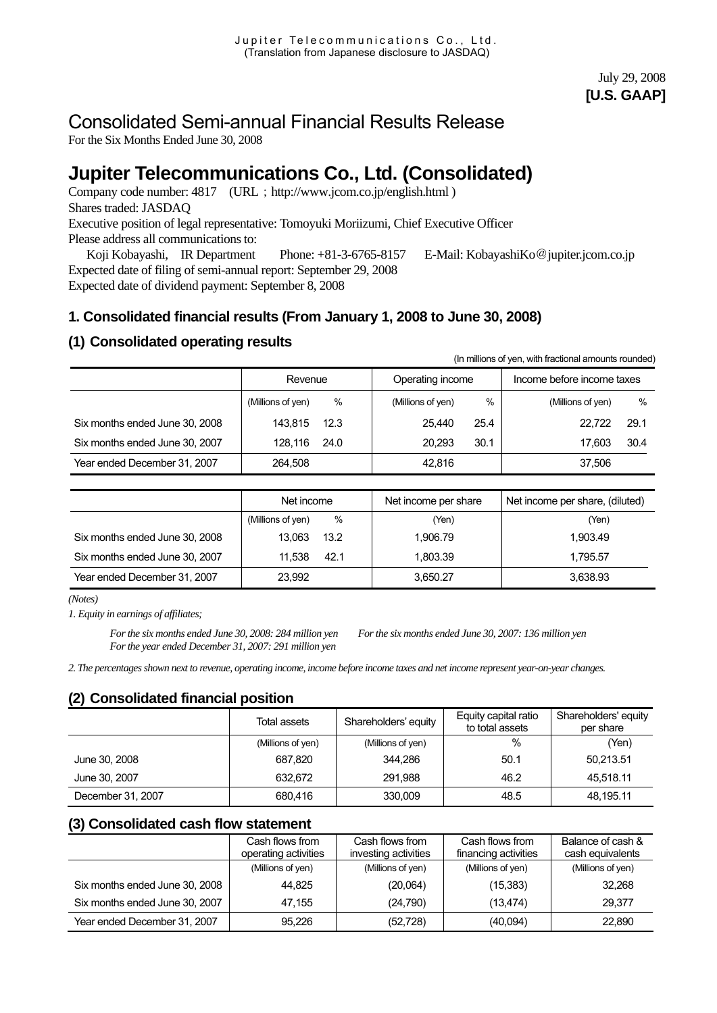# Consolidated Semi-annual Financial Results Release

For the Six Months Ended June 30, 2008

# **Jupiter Telecommunications Co., Ltd. (Consolidated)**

Company code number: 4817 (URL; http://www.jcom.co.jp/english.html) Shares traded: JASDAQ Executive position of legal representative: Tomoyuki Moriizumi, Chief Executive Officer Please address all communications to:

 Koji Kobayashi, IR Department Phone: +81-3-6765-8157 E-Mail: KobayashiKo@[jupiter.jcom.co.jp](mailto:KobayashiKo@jupiter.jcom.co.jp)  Expected date of filing of semi-annual report: September 29, 2008 Expected date of dividend payment: September 8, 2008

# **1. Consolidated financial results (From January 1, 2008 to June 30, 2008)**

# **(1) Consolidated operating results**

| (In millions of yen, with fractional amounts rounded) |                   |      |                   |      |                            |      |  |  |  |
|-------------------------------------------------------|-------------------|------|-------------------|------|----------------------------|------|--|--|--|
|                                                       | Revenue           |      | Operating income  |      | Income before income taxes |      |  |  |  |
|                                                       | (Millions of yen) | %    | (Millions of yen) | %    | (Millions of yen)          | %    |  |  |  |
| Six months ended June 30, 2008                        | 143.815           | 12.3 | 25.440            | 25.4 | 22.722                     | 29.1 |  |  |  |
| Six months ended June 30, 2007                        | 128.116           | 24.0 | 20.293            | 30.1 | 17.603                     | 30.4 |  |  |  |
| Year ended December 31, 2007                          | 264.508           |      | 42.816            |      | 37.506                     |      |  |  |  |

|                                | Net income             | Net income per share | Net income per share, (diluted) |  |
|--------------------------------|------------------------|----------------------|---------------------------------|--|
|                                | %<br>(Millions of yen) | (Yen)                | (Yen)                           |  |
| Six months ended June 30, 2008 | 13.063<br>13.2         | 1.906.79             | 1.903.49                        |  |
| Six months ended June 30, 2007 | 11.538<br>42.1         | 1.803.39             | 1.795.57                        |  |
| Year ended December 31, 2007   | 23,992                 | 3,650.27             | 3,638.93                        |  |

*(Notes)* 

*1. Equity in earnings of affiliates;* 

*For the six months ended June 30, 2008: 284 million yen For the six months ended June 30, 2007: 136 million yen For the year ended December 31, 2007: 291 million yen* 

*2. The percentages shown next to revenue, operating income, income before income taxes and net income represent year-on-year changes.* 

### **(2) Consolidated financial position**

|                   | Total assets      | Shareholders' equity | Equity capital ratio<br>to total assets | Shareholders' equity<br>per share |
|-------------------|-------------------|----------------------|-----------------------------------------|-----------------------------------|
|                   | (Millions of yen) | (Millions of yen)    | %                                       | (Yen)                             |
| June 30, 2008     | 687.820           | 344.286              | 50.1                                    | 50,213.51                         |
| June 30, 2007     | 632.672           | 291.988              | 46.2                                    | 45.518.11                         |
| December 31, 2007 | 680.416           | 330,009              | 48.5                                    | 48,195.11                         |

### **(3) Consolidated cash flow statement**

|                                | Cash flows from<br>operating activities | Cash flows from<br>investing activities | Cash flows from<br>financing activities | Balance of cash &<br>cash equivalents |
|--------------------------------|-----------------------------------------|-----------------------------------------|-----------------------------------------|---------------------------------------|
|                                | (Millions of yen)                       | (Millions of yen)                       | (Millions of yen)                       | (Millions of yen)                     |
| Six months ended June 30, 2008 | 44.825                                  | (20,064)                                | (15, 383)                               | 32.268                                |
| Six months ended June 30, 2007 | 47.155                                  | (24,790)                                | (13, 474)                               | 29.377                                |
| Year ended December 31, 2007   | 95,226                                  | (52, 728)                               | (40,094)                                | 22,890                                |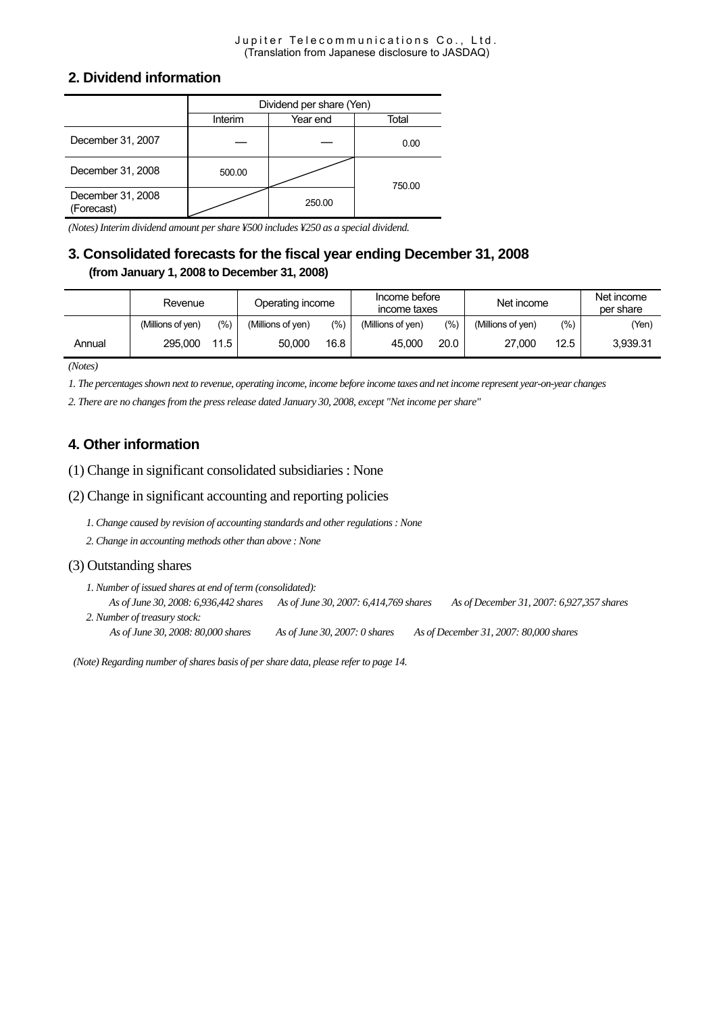#### Jupiter Telecommunications Co., Ltd. (Translation from Japanese disclosure to JASDAQ)

#### **2. Dividend information**

|                                 | Dividend per share (Yen) |          |        |  |  |  |
|---------------------------------|--------------------------|----------|--------|--|--|--|
|                                 | Interim                  | Year end | Total  |  |  |  |
| December 31, 2007               |                          |          | 0.00   |  |  |  |
| December 31, 2008               | 500.00                   |          | 750.00 |  |  |  |
| December 31, 2008<br>(Forecast) |                          | 250.00   |        |  |  |  |

*(Notes) Interim dividend amount per share ¥500 includes ¥250 as a special dividend.* 

# **3. Consolidated forecasts for the fiscal year ending December 31, 2008 (from January 1, 2008 to December 31, 2008)**

|        | Revenue           |       | Operating income  |       | Income before<br>income taxes |      | Net income        |      | Net income<br>per share |  |
|--------|-------------------|-------|-------------------|-------|-------------------------------|------|-------------------|------|-------------------------|--|
|        | (Millions of ven) | (9/0) | (Millions of yen) | (9/6) | (Millions of ven)             | (%)  | (Millions of ven) | (%)  | (Yen)                   |  |
| Annual | 295,000           | 11.5  | 50.000            | 16.8  | 45,000                        | 20.0 | 27.000            | 12.5 | 3,939.31                |  |

*(Notes)* 

*1. The percentages shown next to revenue, operating income, income before income taxes and net income represent year-on-year changes* 

*2. There are no changes from the press release dated January 30, 2008, except "Net income per share"* 

# **4. Other information**

(1) Change in significant consolidated subsidiaries : None

(2) Change in significant accounting and reporting policies

*1. Change caused by revision of accounting standards and other regulations : None* 

*2. Change in accounting methods other than above : None* 

#### (3) Outstanding shares

*1. Number of issued shares at end of term (consolidated): As of June 30, 2008: 6,936,442 shares As of June 30, 2007: 6,414,769 shares As of December 31, 2007: 6,927,357 shares 2. Number of treasury stock:* 

*As of June 30, 2008: 80,000 shares As of June 30, 2007: 0 shares As of December 31, 2007: 80,000 shares* 

 *(Note) Regarding number of shares basis of per share data, please refer to page 14.*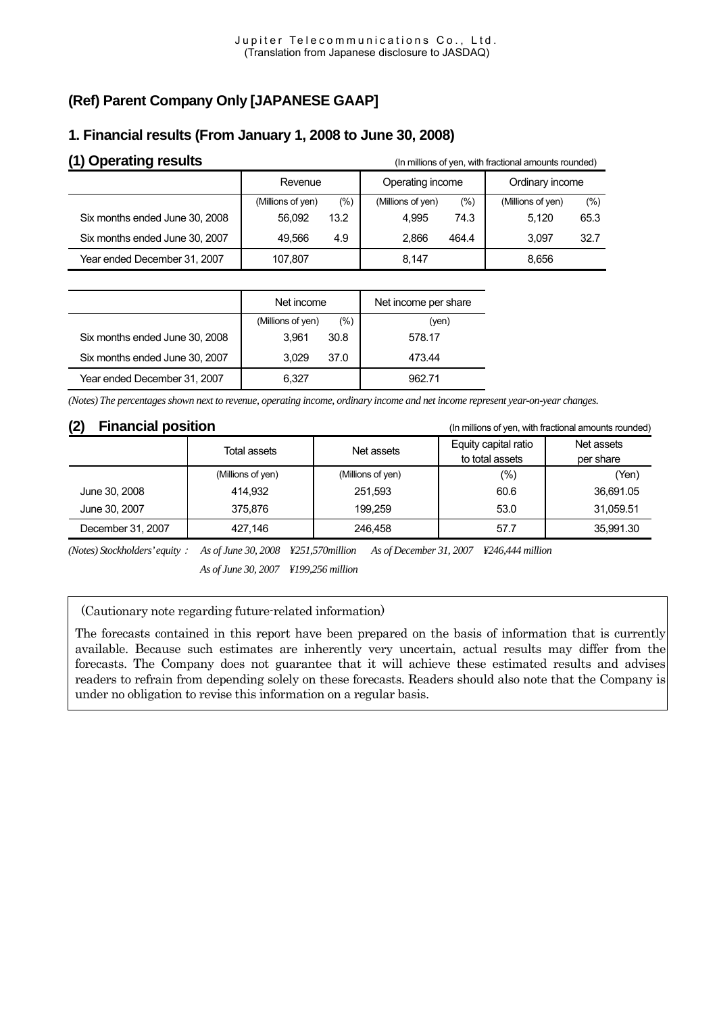# **(Ref) Parent Company Only [JAPANESE GAAP]**

# **(1) Operating results (I)** Operating **results (In millions of yen, with fractional amounts rounded)** Revenue | Operating income | Ordinary income (Millions of yen) (%) (Millions of yen) (%) (Millions of yen) (%) Six months ended June 30, 2008  $\vert$  56,092 13.2  $\vert$  4,995 74.3  $\vert$  5,120 65.3 Six months ended June 30, 2007 | 49,566 4.9 | 2,866 464.4 | 3,097 32.7 Year ended December 31, 2007 | 107,807 | 8,147 | 8,656

# **1. Financial results (From January 1, 2008 to June 30, 2008)**

|                                | Net income        |      | Net income per share |
|--------------------------------|-------------------|------|----------------------|
|                                | (Millions of yen) | (%)  | (ven)                |
| Six months ended June 30, 2008 | 3.961             | 30.8 | 578.17               |
| Six months ended June 30, 2007 | 3.029             | 37.0 | 473.44               |
| Year ended December 31, 2007   | 6.327             |      | 962.71               |

*(Notes) The percentages shown next to revenue, operating income, ordinary income and net income represent year-on-year changes.*

**(2) Financial position** (In millions of yen, with fractional amounts rounded)

|                   | Total assets      | Net assets        | Equity capital ratio<br>to total assets | Net assets<br>per share |  |
|-------------------|-------------------|-------------------|-----------------------------------------|-------------------------|--|
|                   | (Millions of yen) | (Millions of yen) | $(\% )$                                 | (Yen)                   |  |
| June 30, 2008     | 414.932           | 251.593           | 60.6                                    | 36,691.05               |  |
| June 30, 2007     | 375.876           | 199.259           | 53.0                                    | 31,059.51               |  |
| December 31, 2007 | 427.146           | 246.458           | 57.7                                    | 35,991.30               |  |

*(Notes) Stockholders' equity*: *As of June 30, 2008 ¥251,570million As of December 31, 2007 ¥246,444 million As of June 30, 2007 ¥199,256 million* 

(Cautionary note regarding future-related information)

The forecasts contained in this report have been prepared on the basis of information that is currently available. Because such estimates are inherently very uncertain, actual results may differ from the forecasts. The Company does not guarantee that it will achieve these estimated results and advises readers to refrain from depending solely on these forecasts. Readers should also note that the Company is under no obligation to revise this information on a regular basis.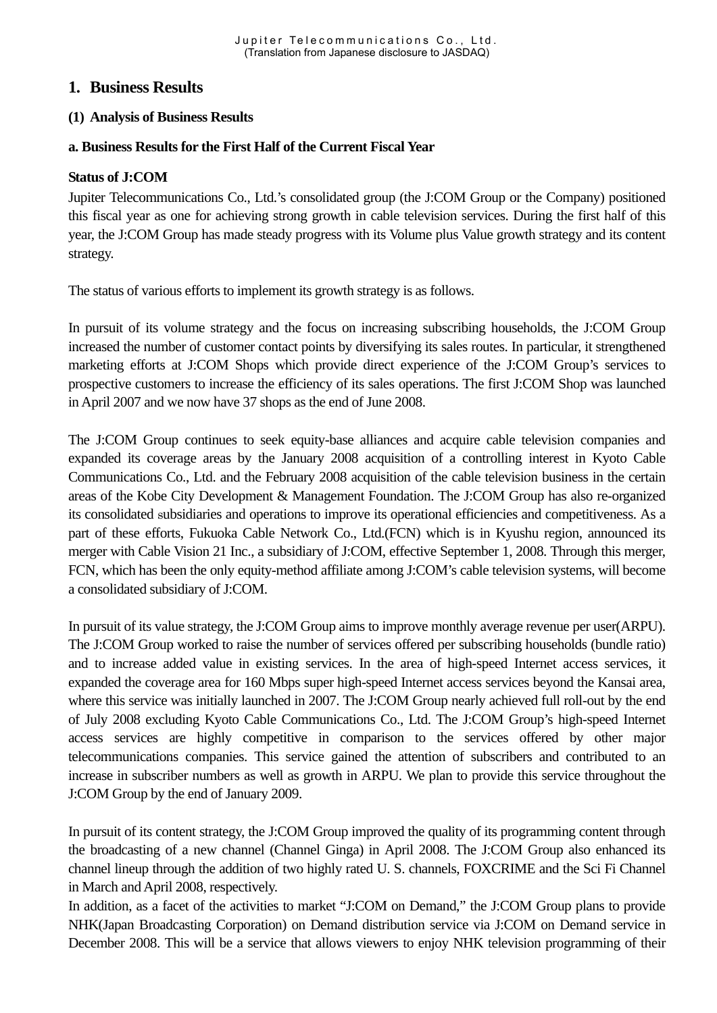# **1. Business Results**

#### **(1) Analysis of Business Results**

#### **a. Business Results for the First Half of the Current Fiscal Year**

#### **Status of J:COM**

Jupiter Telecommunications Co., Ltd.'s consolidated group (the J:COM Group or the Company) positioned this fiscal year as one for achieving strong growth in cable television services. During the first half of this year, the J:COM Group has made steady progress with its Volume plus Value growth strategy and its content strategy.

The status of various efforts to implement its growth strategy is as follows.

In pursuit of its volume strategy and the focus on increasing subscribing households, the J:COM Group increased the number of customer contact points by diversifying its sales routes. In particular, it strengthened marketing efforts at J:COM Shops which provide direct experience of the J:COM Group's services to prospective customers to increase the efficiency of its sales operations. The first J:COM Shop was launched in April 2007 and we now have 37 shops as the end of June 2008.

The J:COM Group continues to seek equity-base alliances and acquire cable television companies and expanded its coverage areas by the January 2008 acquisition of a controlling interest in Kyoto Cable Communications Co., Ltd. and the February 2008 acquisition of the cable television business in the certain areas of the Kobe City Development & Management Foundation. The J:COM Group has also re-organized its consolidated subsidiaries and operations to improve its operational efficiencies and competitiveness. As a part of these efforts, Fukuoka Cable Network Co., Ltd.(FCN) which is in Kyushu region, announced its merger with Cable Vision 21 Inc., a subsidiary of J:COM, effective September 1, 2008. Through this merger, FCN, which has been the only equity-method affiliate among J:COM's cable television systems, will become a consolidated subsidiary of J:COM.

In pursuit of its value strategy, the J:COM Group aims to improve monthly average revenue per user(ARPU). The J:COM Group worked to raise the number of services offered per subscribing households (bundle ratio) and to increase added value in existing services. In the area of high-speed Internet access services, it expanded the coverage area for 160 Mbps super high-speed Internet access services beyond the Kansai area, where this service was initially launched in 2007. The J:COM Group nearly achieved full roll-out by the end of July 2008 excluding Kyoto Cable Communications Co., Ltd. The J:COM Group's high-speed Internet access services are highly competitive in comparison to the services offered by other major telecommunications companies. This service gained the attention of subscribers and contributed to an increase in subscriber numbers as well as growth in ARPU. We plan to provide this service throughout the J:COM Group by the end of January 2009.

In pursuit of its content strategy, the J:COM Group improved the quality of its programming content through the broadcasting of a new channel (Channel Ginga) in April 2008. The J:COM Group also enhanced its channel lineup through the addition of two highly rated U. S. channels, FOXCRIME and the Sci Fi Channel in March and April 2008, respectively.

In addition, as a facet of the activities to market "J:COM on Demand," the J:COM Group plans to provide NHK(Japan Broadcasting Corporation) on Demand distribution service via J:COM on Demand service in December 2008. This will be a service that allows viewers to enjoy NHK television programming of their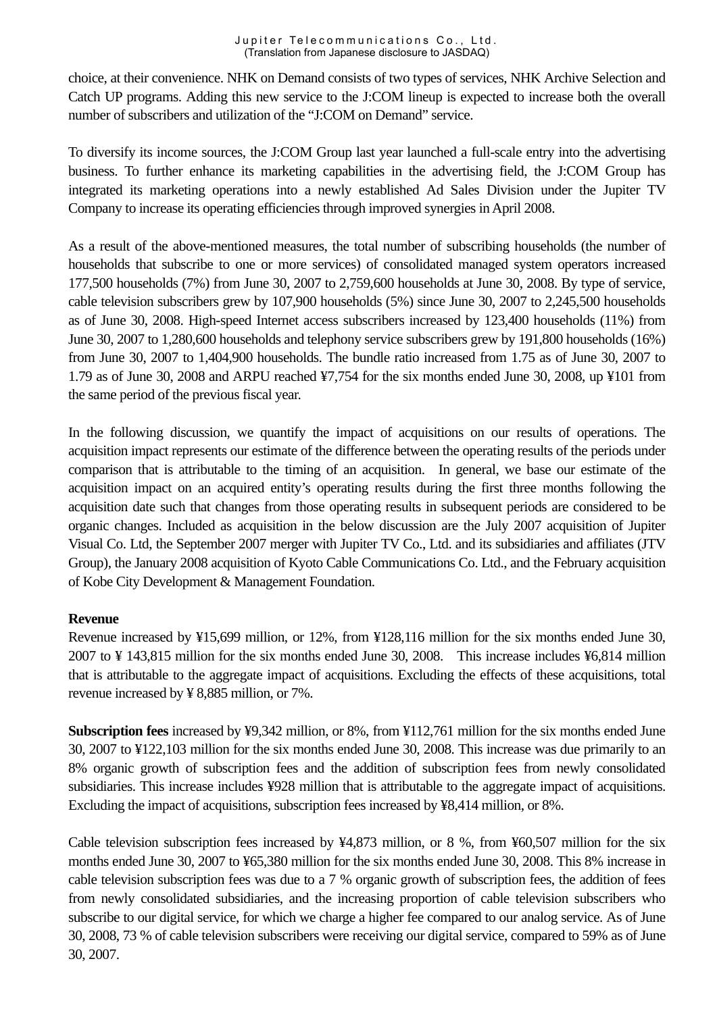choice, at their convenience. NHK on Demand consists of two types of services, NHK Archive Selection and Catch UP programs. Adding this new service to the J:COM lineup is expected to increase both the overall number of subscribers and utilization of the "J:COM on Demand" service.

To diversify its income sources, the J:COM Group last year launched a full-scale entry into the advertising business. To further enhance its marketing capabilities in the advertising field, the J:COM Group has integrated its marketing operations into a newly established Ad Sales Division under the Jupiter TV Company to increase its operating efficiencies through improved synergies in April 2008.

As a result of the above-mentioned measures, the total number of subscribing households (the number of households that subscribe to one or more services) of consolidated managed system operators increased 177,500 households (7%) from June 30, 2007 to 2,759,600 households at June 30, 2008. By type of service, cable television subscribers grew by 107,900 households (5%) since June 30, 2007 to 2,245,500 households as of June 30, 2008. High-speed Internet access subscribers increased by 123,400 households (11%) from June 30, 2007 to 1,280,600 households and telephony service subscribers grew by 191,800 households (16%) from June 30, 2007 to 1,404,900 households. The bundle ratio increased from 1.75 as of June 30, 2007 to 1.79 as of June 30, 2008 and ARPU reached ¥7,754 for the six months ended June 30, 2008, up ¥101 from the same period of the previous fiscal year.

In the following discussion, we quantify the impact of acquisitions on our results of operations. The acquisition impact represents our estimate of the difference between the operating results of the periods under comparison that is attributable to the timing of an acquisition. In general, we base our estimate of the acquisition impact on an acquired entity's operating results during the first three months following the acquisition date such that changes from those operating results in subsequent periods are considered to be organic changes. Included as acquisition in the below discussion are the July 2007 acquisition of Jupiter Visual Co. Ltd, the September 2007 merger with Jupiter TV Co., Ltd. and its subsidiaries and affiliates (JTV Group), the January 2008 acquisition of Kyoto Cable Communications Co. Ltd., and the February acquisition of Kobe City Development & Management Foundation.

### **Revenue**

Revenue increased by ¥15,699 million, or 12%, from ¥128,116 million for the six months ended June 30, 2007 to ¥ 143,815 million for the six months ended June 30, 2008. This increase includes ¥6,814 million that is attributable to the aggregate impact of acquisitions. Excluding the effects of these acquisitions, total revenue increased by ¥ 8,885 million, or 7%.

**Subscription fees** increased by ¥9,342 million, or 8%, from ¥112,761 million for the six months ended June 30, 2007 to ¥122,103 million for the six months ended June 30, 2008. This increase was due primarily to an 8% organic growth of subscription fees and the addition of subscription fees from newly consolidated subsidiaries. This increase includes ¥928 million that is attributable to the aggregate impact of acquisitions. Excluding the impact of acquisitions, subscription fees increased by ¥8,414 million, or 8%.

Cable television subscription fees increased by ¥4,873 million, or 8 %, from ¥60,507 million for the six months ended June 30, 2007 to ¥65,380 million for the six months ended June 30, 2008. This 8% increase in cable television subscription fees was due to a 7 % organic growth of subscription fees, the addition of fees from newly consolidated subsidiaries, and the increasing proportion of cable television subscribers who subscribe to our digital service, for which we charge a higher fee compared to our analog service. As of June 30, 2008, 73 % of cable television subscribers were receiving our digital service, compared to 59% as of June 30, 2007.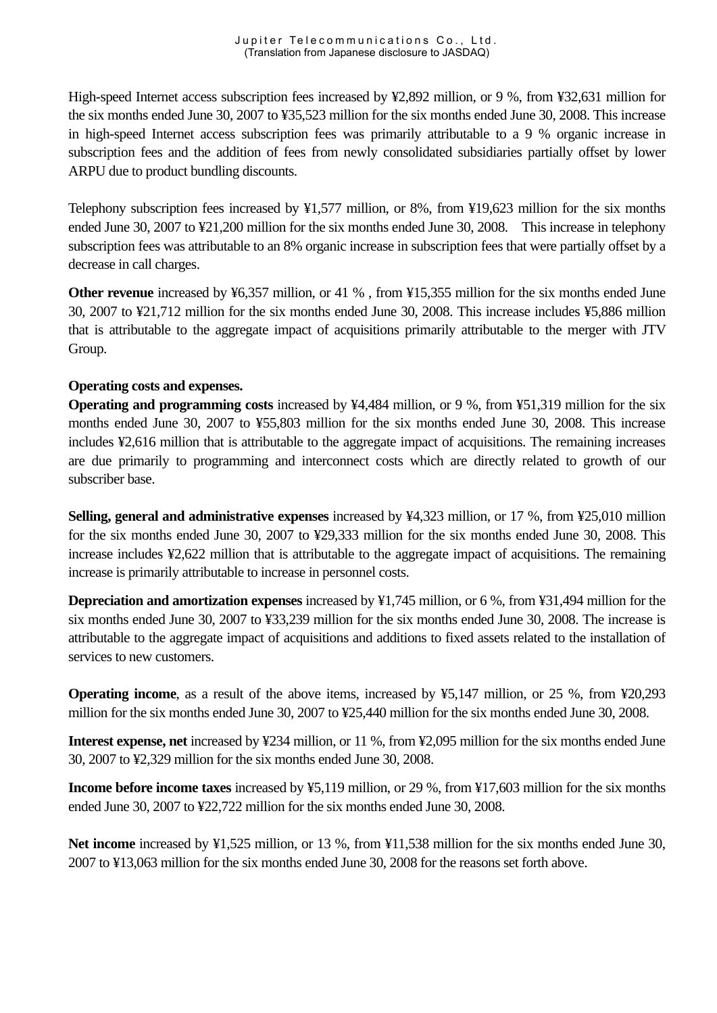High-speed Internet access subscription fees increased by ¥2,892 million, or 9 %, from ¥32,631 million for the six months ended June 30, 2007 to ¥35,523 million for the six months ended June 30, 2008. This increase in high-speed Internet access subscription fees was primarily attributable to a 9 % organic increase in subscription fees and the addition of fees from newly consolidated subsidiaries partially offset by lower ARPU due to product bundling discounts.

Telephony subscription fees increased by ¥1,577 million, or 8%, from ¥19,623 million for the six months ended June 30, 2007 to ¥21,200 million for the six months ended June 30, 2008. This increase in telephony subscription fees was attributable to an 8% organic increase in subscription fees that were partially offset by a decrease in call charges.

**Other revenue** increased by ¥6,357 million, or 41 %, from ¥15,355 million for the six months ended June 30, 2007 to ¥21,712 million for the six months ended June 30, 2008. This increase includes ¥5,886 million that is attributable to the aggregate impact of acquisitions primarily attributable to the merger with JTV Group.

### **Operating costs and expenses.**

**Operating and programming costs** increased by ¥4,484 million, or 9 %, from ¥51,319 million for the six months ended June 30, 2007 to ¥55,803 million for the six months ended June 30, 2008. This increase includes ¥2,616 million that is attributable to the aggregate impact of acquisitions. The remaining increases are due primarily to programming and interconnect costs which are directly related to growth of our subscriber base.

**Selling, general and administrative expenses** increased by ¥4,323 million, or 17 %, from ¥25,010 million for the six months ended June 30, 2007 to ¥29,333 million for the six months ended June 30, 2008. This increase includes ¥2,622 million that is attributable to the aggregate impact of acquisitions. The remaining increase is primarily attributable to increase in personnel costs.

**Depreciation and amortization expenses** increased by ¥1,745 million, or 6 %, from ¥31,494 million for the six months ended June 30, 2007 to ¥33,239 million for the six months ended June 30, 2008. The increase is attributable to the aggregate impact of acquisitions and additions to fixed assets related to the installation of services to new customers.

**Operating income**, as a result of the above items, increased by ¥5,147 million, or 25 %, from ¥20,293 million for the six months ended June 30, 2007 to ¥25,440 million for the six months ended June 30, 2008.

**Interest expense, net** increased by ¥234 million, or 11 %, from ¥2,095 million for the six months ended June 30, 2007 to ¥2,329 million for the six months ended June 30, 2008.

**Income before income taxes** increased by ¥5,119 million, or 29 %, from ¥17,603 million for the six months ended June 30, 2007 to ¥22,722 million for the six months ended June 30, 2008.

**Net income** increased by ¥1,525 million, or 13 %, from ¥11,538 million for the six months ended June 30, 2007 to ¥13,063 million for the six months ended June 30, 2008 for the reasons set forth above.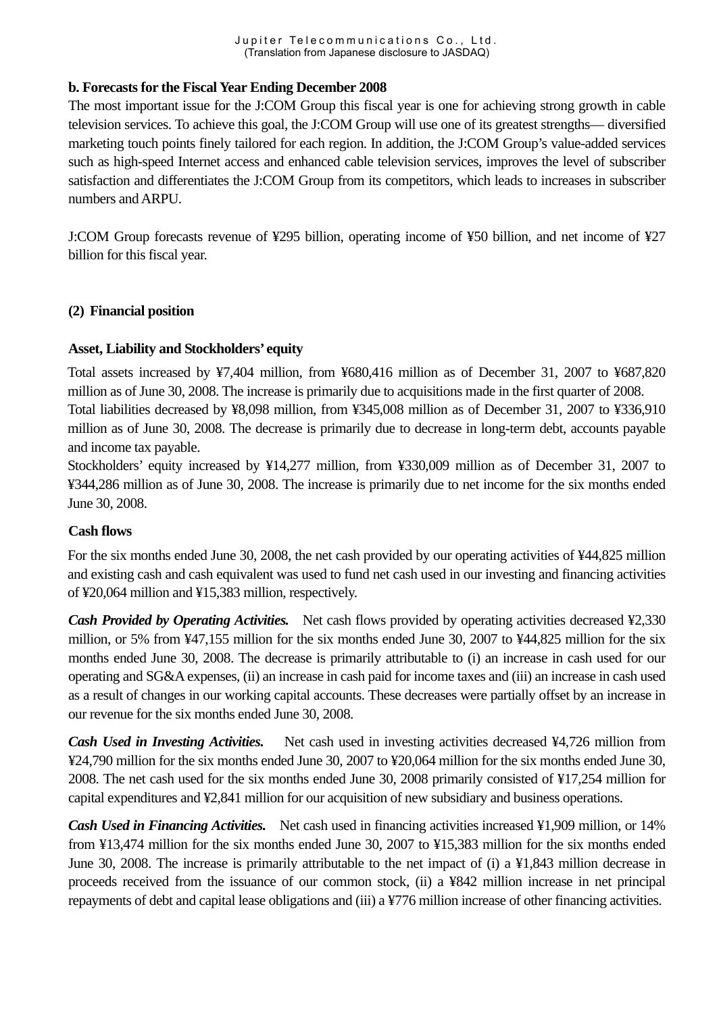#### **b. Forecasts for the Fiscal Year Ending December 2008**

The most important issue for the J:COM Group this fiscal year is one for achieving strong growth in cable television services. To achieve this goal, the J:COM Group will use one of its greatest strengths— diversified marketing touch points finely tailored for each region. In addition, the J:COM Group's value-added services such as high-speed Internet access and enhanced cable television services, improves the level of subscriber satisfaction and differentiates the J:COM Group from its competitors, which leads to increases in subscriber numbers and ARPU.

J:COM Group forecasts revenue of ¥295 billion, operating income of ¥50 billion, and net income of ¥27 billion for this fiscal year.

#### **(2) Financial position**

#### **Asset, Liability and Stockholders' equity**

Total assets increased by ¥7,404 million, from ¥680,416 million as of December 31, 2007 to ¥687,820 million as of June 30, 2008. The increase is primarily due to acquisitions made in the first quarter of 2008. Total liabilities decreased by ¥8,098 million, from ¥345,008 million as of December 31, 2007 to ¥336,910 million as of June 30, 2008. The decrease is primarily due to decrease in long-term debt, accounts payable and income tax payable.

Stockholders' equity increased by ¥14,277 million, from ¥330,009 million as of December 31, 2007 to ¥344,286 million as of June 30, 2008. The increase is primarily due to net income for the six months ended June 30, 2008.

#### **Cash flows**

For the six months ended June 30, 2008, the net cash provided by our operating activities of ¥44,825 million and existing cash and cash equivalent was used to fund net cash used in our investing and financing activities of ¥20,064 million and ¥15,383 million, respectively.

*Cash Provided by Operating Activities.* Net cash flows provided by operating activities decreased \times\$2,330 million, or 5% from ¥47,155 million for the six months ended June 30, 2007 to ¥44,825 million for the six months ended June 30, 2008. The decrease is primarily attributable to (i) an increase in cash used for our operating and SG&A expenses, (ii) an increase in cash paid for income taxes and (iii) an increase in cash used as a result of changes in our working capital accounts. These decreases were partially offset by an increase in our revenue for the six months ended June 30, 2008.

*Cash Used in Investing Activities.* Net cash used in investing activities decreased ¥4,726 million from ¥24,790 million for the six months ended June 30, 2007 to ¥20,064 million for the six months ended June 30, 2008. The net cash used for the six months ended June 30, 2008 primarily consisted of ¥17,254 million for capital expenditures and ¥2,841 million for our acquisition of new subsidiary and business operations.

*Cash Used in Financing Activities.* Net cash used in financing activities increased ¥1,909 million, or 14% from ¥13,474 million for the six months ended June 30, 2007 to ¥15,383 million for the six months ended June 30, 2008. The increase is primarily attributable to the net impact of (i) a ¥1,843 million decrease in proceeds received from the issuance of our common stock, (ii) a ¥842 million increase in net principal repayments of debt and capital lease obligations and (iii) a ¥776 million increase of other financing activities.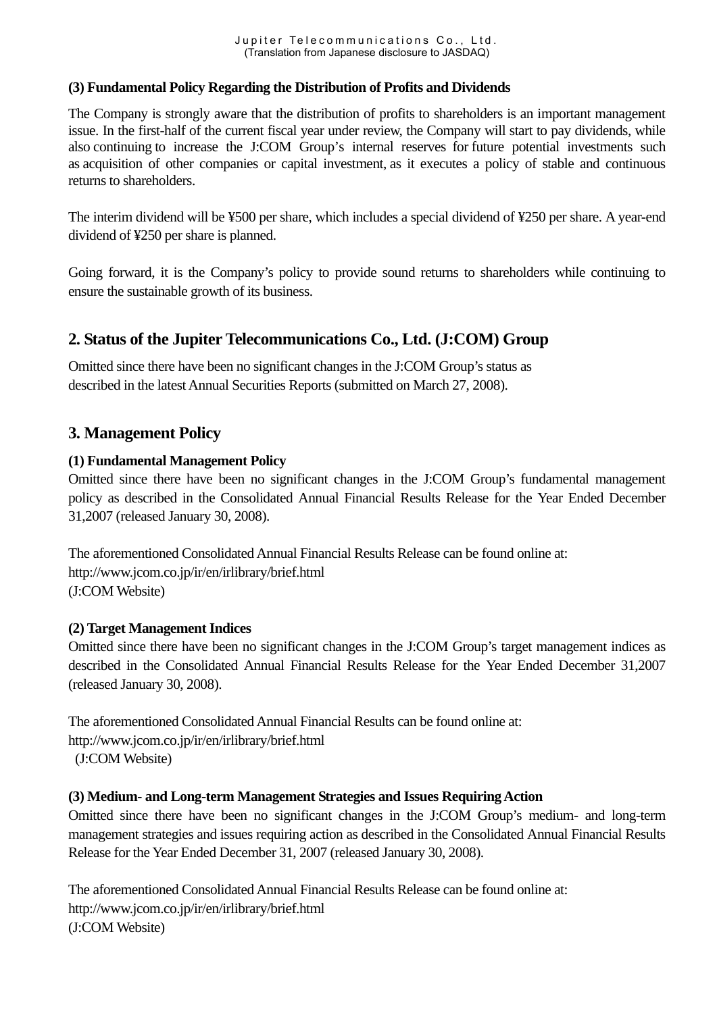### **(3) Fundamental Policy Regarding the Distribution of Profits and Dividends**

The Company is strongly aware that the distribution of profits to shareholders is an important management issue. In the first-half of the current fiscal year under review, the Company will start to pay dividends, while also continuing to increase the J:COM Group's internal reserves for future potential investments such as acquisition of other companies or capital investment, as it executes a policy of stable and continuous returns to shareholders.

The interim dividend will be ¥500 per share, which includes a special dividend of ¥250 per share. A year-end dividend of ¥250 per share is planned.

Going forward, it is the Company's policy to provide sound returns to shareholders while continuing to ensure the sustainable growth of its business.

# **2. Status of the Jupiter Telecommunications Co., Ltd. (J:COM) Group**

Omitted since there have been no significant changes in the J:COM Group's status as described in the latest Annual Securities Reports (submitted on March 27, 2008).

# **3. Management Policy**

### **(1) Fundamental Management Policy**

Omitted since there have been no significant changes in the J:COM Group's fundamental management policy as described in the Consolidated Annual Financial Results Release for the Year Ended December 31,2007 (released January 30, 2008).

The aforementioned Consolidated Annual Financial Results Release can be found online at: http://www.jcom.co.jp/ir/en/irlibrary/brief.html (J:COM Website)

### **(2) Target Management Indices**

Omitted since there have been no significant changes in the J:COM Group's target management indices as described in the Consolidated Annual Financial Results Release for the Year Ended December 31,2007 (released January 30, 2008).

The aforementioned Consolidated Annual Financial Results can be found online at: http://www.jcom.co.jp/ir/en/irlibrary/brief.html (J:COM Website)

### **(3) Medium- and Long-term Management Strategies and Issues Requiring Action**

Omitted since there have been no significant changes in the J:COM Group's medium- and long-term management strategies and issues requiring action as described in the Consolidated Annual Financial Results Release for the Year Ended December 31, 2007 (released January 30, 2008).

The aforementioned Consolidated Annual Financial Results Release can be found online at: http://www.jcom.co.jp/ir/en/irlibrary/brief.html (J:COM Website)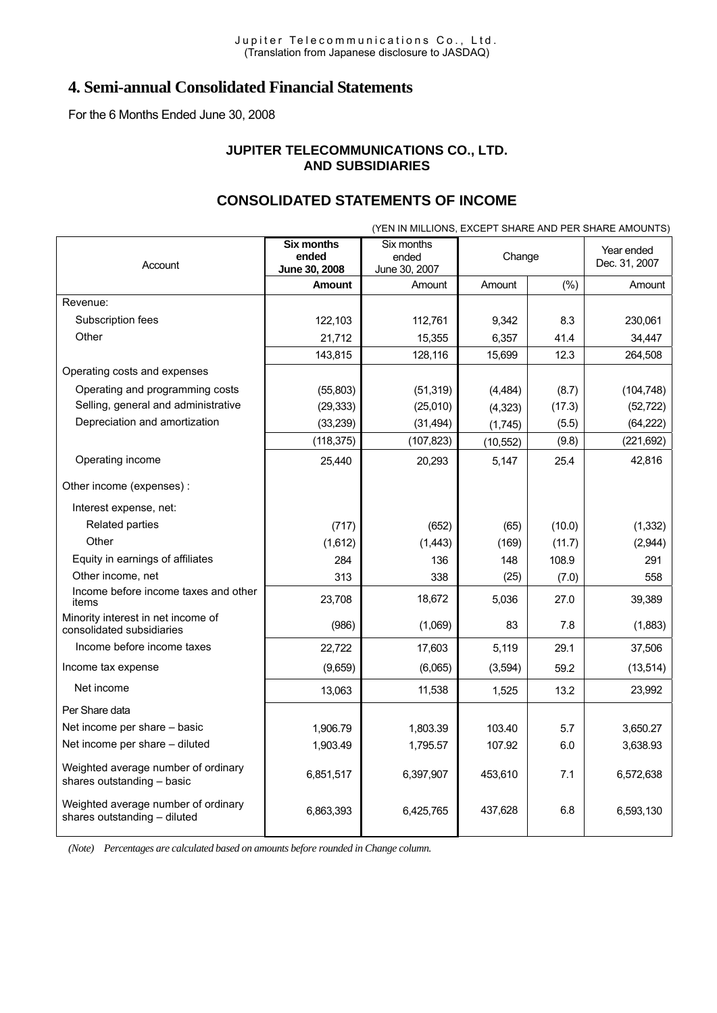# **4. Semi-annual Consolidated Financial Statements**

For the 6 Months Ended June 30, 2008

#### **JUPITER TELECOMMUNICATIONS CO., LTD. AND SUBSIDIARIES**

# **CONSOLIDATED STATEMENTS OF INCOME**

| (YEN IN MILLIONS, EXCEPT SHARE AND PER SHARE AMOUNTS)               |                                             |                                      |           |        |            |
|---------------------------------------------------------------------|---------------------------------------------|--------------------------------------|-----------|--------|------------|
| Account                                                             | <b>Six months</b><br>ended<br>June 30, 2008 | Six months<br>ended<br>June 30, 2007 |           | Change |            |
|                                                                     | <b>Amount</b>                               | Amount                               | Amount    | (%)    | Amount     |
| Revenue:                                                            |                                             |                                      |           |        |            |
| Subscription fees                                                   | 122,103                                     | 112,761                              | 9,342     | 8.3    | 230,061    |
| Other                                                               | 21,712                                      | 15,355                               | 6,357     | 41.4   | 34,447     |
|                                                                     | 143,815                                     | 128,116                              | 15,699    | 12.3   | 264,508    |
| Operating costs and expenses                                        |                                             |                                      |           |        |            |
| Operating and programming costs                                     | (55,803)                                    | (51, 319)                            | (4, 484)  | (8.7)  | (104, 748) |
| Selling, general and administrative                                 | (29, 333)                                   | (25,010)                             | (4, 323)  | (17.3) | (52, 722)  |
| Depreciation and amortization                                       | (33, 239)                                   | (31, 494)                            | (1,745)   | (5.5)  | (64, 222)  |
|                                                                     | (118, 375)                                  | (107, 823)                           | (10, 552) | (9.8)  | (221, 692) |
| Operating income                                                    | 25,440                                      | 20,293                               | 5,147     | 25.4   | 42,816     |
| Other income (expenses) :                                           |                                             |                                      |           |        |            |
| Interest expense, net:                                              |                                             |                                      |           |        |            |
| Related parties                                                     | (717)                                       | (652)                                | (65)      | (10.0) | (1, 332)   |
| Other                                                               | (1,612)                                     | (1,443)                              | (169)     | (11.7) | (2,944)    |
| Equity in earnings of affiliates                                    | 284                                         | 136                                  | 148       | 108.9  | 291        |
| Other income, net                                                   | 313                                         | 338                                  | (25)      | (7.0)  | 558        |
| Income before income taxes and other<br>items                       | 23,708                                      | 18,672                               | 5,036     | 27.0   | 39,389     |
| Minority interest in net income of<br>consolidated subsidiaries     | (986)                                       | (1,069)                              | 83        | 7.8    | (1,883)    |
| Income before income taxes                                          | 22,722                                      | 17,603                               | 5,119     | 29.1   | 37,506     |
| Income tax expense                                                  | (9,659)                                     | (6,065)                              | (3,594)   | 59.2   | (13, 514)  |
| Net income                                                          | 13,063                                      | 11,538                               | 1,525     | 13.2   | 23,992     |
| Per Share data                                                      |                                             |                                      |           |        |            |
| Net income per share - basic                                        | 1.906.79                                    | 1,803.39                             | 103.40    | 5.7    | 3,650.27   |
| Net income per share - diluted                                      | 1,903.49                                    | 1,795.57                             | 107.92    | 6.0    | 3,638.93   |
| Weighted average number of ordinary<br>shares outstanding - basic   | 6,851,517                                   | 6,397,907                            | 453,610   | 7.1    | 6,572,638  |
| Weighted average number of ordinary<br>shares outstanding - diluted | 6,863,393                                   | 6,425,765                            | 437,628   | 6.8    | 6,593,130  |

*(Note) Percentages are calculated based on amounts before rounded in Change column.*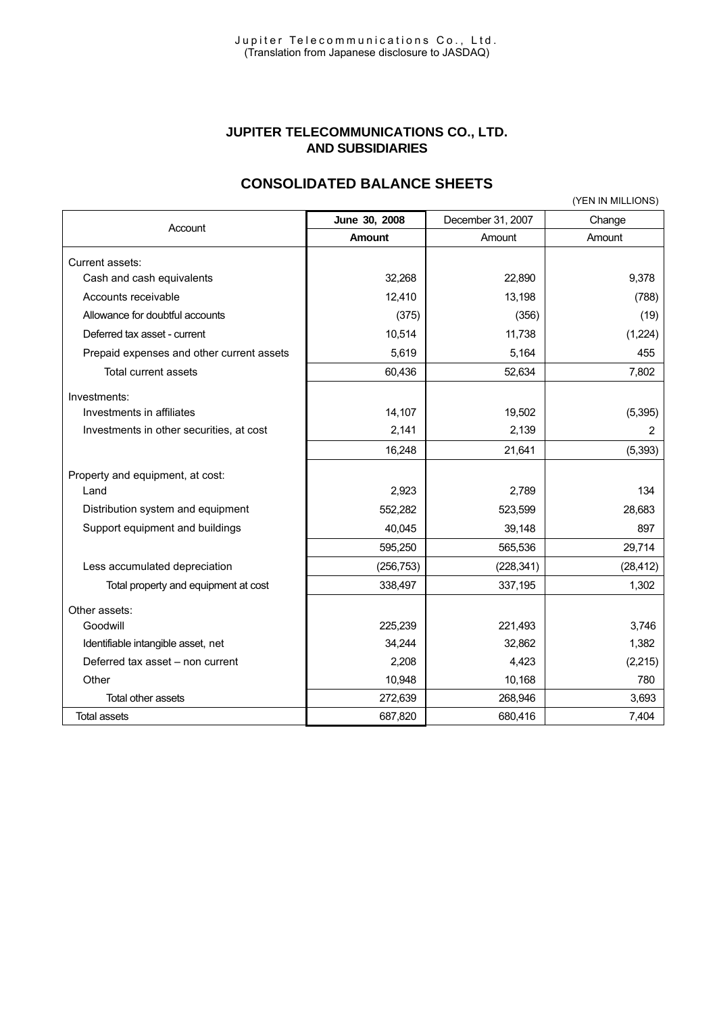#### **JUPITER TELECOMMUNICATIONS CO., LTD. AND SUBSIDIARIES**

# **CONSOLIDATED BALANCE SHEETS**

|                                           |               |                   | (YEN IN MILLIONS) |
|-------------------------------------------|---------------|-------------------|-------------------|
|                                           | June 30, 2008 | December 31, 2007 | Change            |
| Account                                   | <b>Amount</b> | Amount            | Amount            |
| Current assets:                           |               |                   |                   |
| Cash and cash equivalents                 | 32,268        | 22,890            | 9,378             |
| Accounts receivable                       | 12,410        | 13,198            | (788)             |
| Allowance for doubtful accounts           | (375)         | (356)             | (19)              |
| Deferred tax asset - current              | 10,514        | 11,738            | (1,224)           |
| Prepaid expenses and other current assets | 5,619         | 5,164             | 455               |
| Total current assets                      | 60,436        | 52,634            | 7,802             |
| Investments:                              |               |                   |                   |
| Investments in affiliates                 | 14,107        | 19,502            | (5, 395)          |
| Investments in other securities, at cost  | 2,141         | 2,139             | 2                 |
|                                           | 16,248        | 21,641            | (5,393)           |
| Property and equipment, at cost:          |               |                   |                   |
| Land                                      | 2,923         | 2,789             | 134               |
| Distribution system and equipment         | 552,282       | 523,599           | 28,683            |
| Support equipment and buildings           | 40,045        | 39,148            | 897               |
|                                           | 595,250       | 565,536           | 29,714            |
| Less accumulated depreciation             | (256, 753)    | (228, 341)        | (28, 412)         |
| Total property and equipment at cost      | 338,497       | 337,195           | 1,302             |
| Other assets:                             |               |                   |                   |
| Goodwill                                  | 225,239       | 221,493           | 3,746             |
| Identifiable intangible asset, net        | 34,244        | 32,862            | 1,382             |
| Deferred tax asset - non current          | 2,208         | 4,423             | (2,215)           |
| Other                                     | 10,948        | 10,168            | 780               |
| Total other assets                        | 272,639       | 268,946           | 3,693             |
| <b>Total assets</b>                       | 687,820       | 680,416           | 7,404             |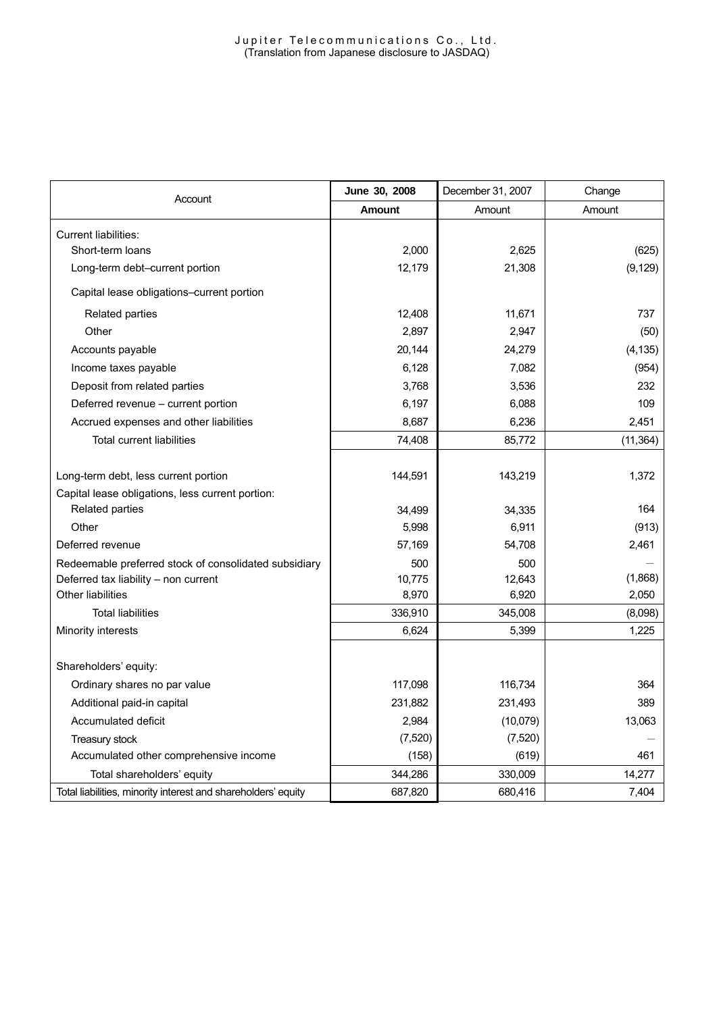| Account                                                       | June 30, 2008 | December 31, 2007 | Change    |
|---------------------------------------------------------------|---------------|-------------------|-----------|
|                                                               | <b>Amount</b> | Amount            | Amount    |
| <b>Current liabilities:</b>                                   |               |                   |           |
| Short-term loans                                              | 2,000         | 2,625             | (625)     |
| Long-term debt-current portion                                | 12,179        | 21,308            | (9, 129)  |
| Capital lease obligations-current portion                     |               |                   |           |
| Related parties                                               | 12,408        | 11,671            | 737       |
| Other                                                         | 2,897         | 2,947             | (50)      |
| Accounts payable                                              | 20,144        | 24,279            | (4, 135)  |
| Income taxes payable                                          | 6,128         | 7,082             | (954)     |
| Deposit from related parties                                  | 3,768         | 3,536             | 232       |
| Deferred revenue - current portion                            | 6,197         | 6,088             | 109       |
| Accrued expenses and other liabilities                        | 8,687         | 6,236             | 2,451     |
| <b>Total current liabilities</b>                              | 74,408        | 85,772            | (11, 364) |
|                                                               |               |                   |           |
| Long-term debt, less current portion                          | 144,591       | 143,219           | 1,372     |
| Capital lease obligations, less current portion:              |               |                   |           |
| Related parties                                               | 34,499        | 34,335            | 164       |
| Other                                                         | 5,998         | 6,911             | (913)     |
| Deferred revenue                                              | 57,169        | 54,708            | 2,461     |
| Redeemable preferred stock of consolidated subsidiary         | 500           | 500               |           |
| Deferred tax liability - non current                          | 10,775        | 12,643            | (1,868)   |
| Other liabilities                                             | 8,970         | 6,920             | 2,050     |
| <b>Total liabilities</b>                                      | 336,910       | 345,008           | (8,098)   |
| Minority interests                                            | 6,624         | 5,399             | 1,225     |
|                                                               |               |                   |           |
| Shareholders' equity:                                         |               |                   |           |
| Ordinary shares no par value                                  | 117,098       | 116,734           | 364       |
| Additional paid-in capital                                    | 231,882       | 231,493           | 389       |
| Accumulated deficit                                           | 2,984         | (10,079)          | 13,063    |
| Treasury stock                                                | (7, 520)      | (7, 520)          |           |
| Accumulated other comprehensive income                        | (158)         | (619)             | 461       |
| Total shareholders' equity                                    | 344,286       | 330,009           | 14,277    |
| Total liabilities, minority interest and shareholders' equity | 687,820       | 680.416           | 7,404     |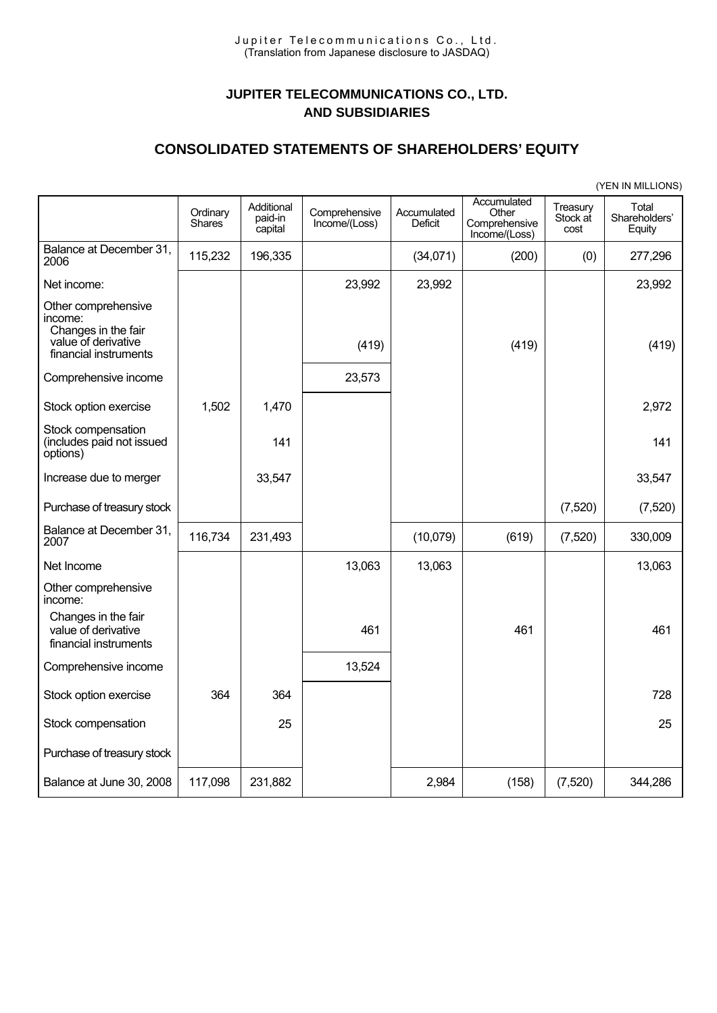# **JUPITER TELECOMMUNICATIONS CO., LTD. AND SUBSIDIARIES**

#### **CONSOLIDATED STATEMENTS OF SHAREHOLDERS' EQUITY**

|                                                                                                       |                           |                                  |                                |                               |                                                        |                              | (YEN IN MILLIONS)                |
|-------------------------------------------------------------------------------------------------------|---------------------------|----------------------------------|--------------------------------|-------------------------------|--------------------------------------------------------|------------------------------|----------------------------------|
|                                                                                                       | Ordinary<br><b>Shares</b> | Additional<br>paid-in<br>capital | Comprehensive<br>Income/(Loss) | Accumulated<br><b>Deficit</b> | Accumulated<br>Other<br>Comprehensive<br>Income/(Loss) | Treasury<br>Stock at<br>cost | Total<br>Shareholders'<br>Equity |
| Balance at December 31,<br>2006                                                                       | 115,232                   | 196,335                          |                                | (34,071)                      | (200)                                                  | (0)                          | 277,296                          |
| Net income:                                                                                           |                           |                                  | 23,992                         | 23,992                        |                                                        |                              | 23,992                           |
| Other comprehensive<br>income:<br>Changes in the fair<br>value of derivative<br>financial instruments |                           |                                  | (419)                          |                               | (419)                                                  |                              | (419)                            |
| Comprehensive income                                                                                  |                           |                                  | 23,573                         |                               |                                                        |                              |                                  |
| Stock option exercise                                                                                 | 1,502                     | 1,470                            |                                |                               |                                                        |                              | 2,972                            |
| Stock compensation<br>(includes paid not issued<br>options)                                           |                           | 141                              |                                |                               |                                                        |                              | 141                              |
| Increase due to merger                                                                                |                           | 33,547                           |                                |                               |                                                        |                              | 33,547                           |
| Purchase of treasury stock                                                                            |                           |                                  |                                |                               |                                                        | (7,520)                      | (7, 520)                         |
| Balance at December 31,<br>2007                                                                       | 116,734                   | 231,493                          |                                | (10,079)                      | (619)                                                  | (7,520)                      | 330,009                          |
| Net Income                                                                                            |                           |                                  | 13,063                         | 13,063                        |                                                        |                              | 13,063                           |
| Other comprehensive<br>income:                                                                        |                           |                                  |                                |                               |                                                        |                              |                                  |
| Changes in the fair<br>value of derivative<br>financial instruments                                   |                           |                                  | 461                            |                               | 461                                                    |                              | 461                              |
| Comprehensive income                                                                                  |                           |                                  | 13,524                         |                               |                                                        |                              |                                  |
| Stock option exercise                                                                                 | 364                       | 364                              |                                |                               |                                                        |                              | 728                              |
| Stock compensation                                                                                    |                           | 25                               |                                |                               |                                                        |                              | 25                               |
| Purchase of treasury stock                                                                            |                           |                                  |                                |                               |                                                        |                              |                                  |
| Balance at June 30, 2008                                                                              | 117,098                   | 231,882                          |                                | 2,984                         | (158)                                                  | (7, 520)                     | 344,286                          |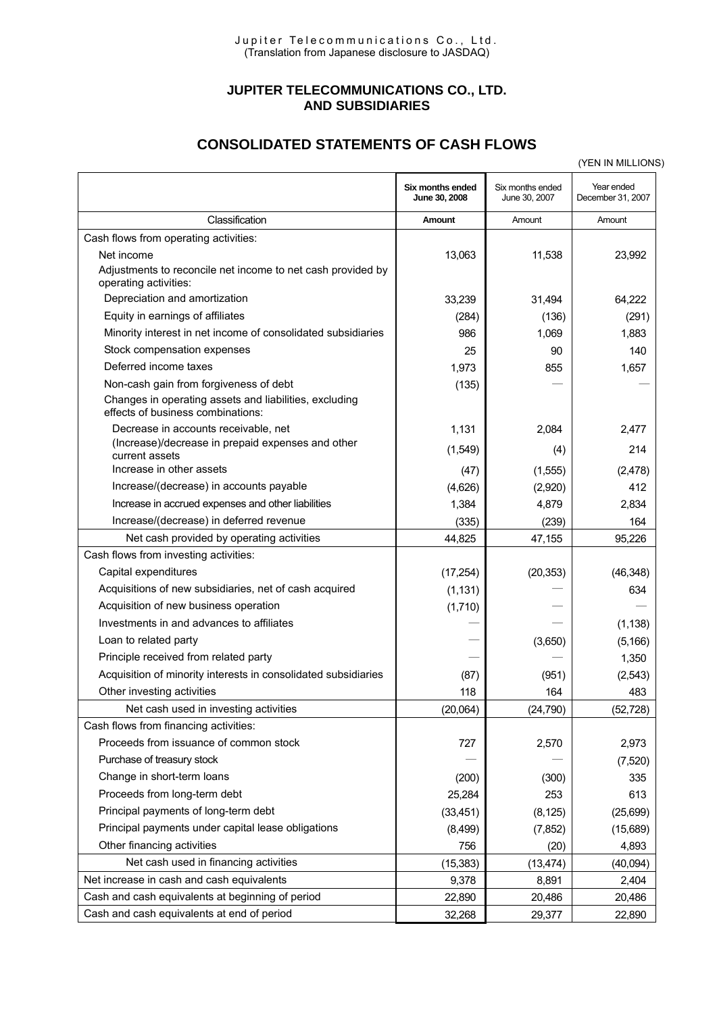#### **JUPITER TELECOMMUNICATIONS CO., LTD. AND SUBSIDIARIES**

# **CONSOLIDATED STATEMENTS OF CASH FLOWS**

|                                                                                             |                                   |                                   | (YEN IN MILLIONS)               |
|---------------------------------------------------------------------------------------------|-----------------------------------|-----------------------------------|---------------------------------|
|                                                                                             | Six months ended<br>June 30, 2008 | Six months ended<br>June 30, 2007 | Year ended<br>December 31, 2007 |
| Classification                                                                              | Amount                            | Amount                            | Amount                          |
| Cash flows from operating activities:                                                       |                                   |                                   |                                 |
| Net income                                                                                  | 13,063                            | 11,538                            | 23,992                          |
| Adjustments to reconcile net income to net cash provided by<br>operating activities:        |                                   |                                   |                                 |
| Depreciation and amortization                                                               | 33,239                            | 31,494                            | 64,222                          |
| Equity in earnings of affiliates                                                            | (284)                             | (136)                             | (291)                           |
| Minority interest in net income of consolidated subsidiaries                                | 986                               | 1,069                             | 1,883                           |
| Stock compensation expenses                                                                 | 25                                | 90                                | 140                             |
| Deferred income taxes                                                                       | 1,973                             | 855                               | 1,657                           |
| Non-cash gain from forgiveness of debt                                                      | (135)                             |                                   |                                 |
| Changes in operating assets and liabilities, excluding<br>effects of business combinations: |                                   |                                   |                                 |
| Decrease in accounts receivable, net                                                        | 1,131                             | 2,084                             | 2,477                           |
| (Increase)/decrease in prepaid expenses and other<br>current assets                         | (1,549)                           | (4)                               | 214                             |
| Increase in other assets                                                                    | (47)                              | (1,555)                           | (2,478)                         |
| Increase/(decrease) in accounts payable                                                     | (4,626)                           | (2,920)                           | 412                             |
| Increase in accrued expenses and other liabilities                                          | 1,384                             | 4,879                             | 2,834                           |
| Increase/(decrease) in deferred revenue                                                     | (335)                             | (239)                             | 164                             |
| Net cash provided by operating activities                                                   | 44,825                            | 47,155                            | 95,226                          |
| Cash flows from investing activities:                                                       |                                   |                                   |                                 |
| Capital expenditures                                                                        | (17, 254)                         | (20, 353)                         | (46, 348)                       |
| Acquisitions of new subsidiaries, net of cash acquired                                      | (1, 131)                          |                                   | 634                             |
| Acquisition of new business operation                                                       | (1,710)                           |                                   |                                 |
| Investments in and advances to affiliates                                                   |                                   |                                   | (1, 138)                        |
| Loan to related party                                                                       |                                   | (3,650)                           | (5, 166)                        |
| Principle received from related party                                                       |                                   |                                   | 1,350                           |
| Acquisition of minority interests in consolidated subsidiaries                              | (87)                              | (951)                             | (2, 543)                        |
| Other investing activities                                                                  | 118                               | 164                               | 483                             |
| Net cash used in investing activities                                                       | (20,064)                          | (24, 790)                         | (52, 728)                       |
| Cash flows from financing activities:                                                       |                                   |                                   |                                 |
| Proceeds from issuance of common stock                                                      | 727                               | 2,570                             | 2,973                           |
| Purchase of treasury stock                                                                  |                                   |                                   | (7,520)                         |
| Change in short-term loans                                                                  | (200)                             | (300)                             | 335                             |
| Proceeds from long-term debt                                                                | 25,284                            | 253                               | 613                             |
| Principal payments of long-term debt                                                        | (33, 451)                         | (8, 125)                          | (25, 699)                       |
| Principal payments under capital lease obligations                                          | (8,499)                           | (7, 852)                          | (15,689)                        |
| Other financing activities                                                                  | 756                               | (20)                              | 4,893                           |
| Net cash used in financing activities                                                       | (15, 383)                         | (13, 474)                         | (40,094)                        |
| Net increase in cash and cash equivalents                                                   | 9,378                             | 8,891                             | 2,404                           |
| Cash and cash equivalents at beginning of period                                            | 22,890                            | 20,486                            | 20,486                          |
| Cash and cash equivalents at end of period                                                  | 32,268                            | 29,377                            | 22,890                          |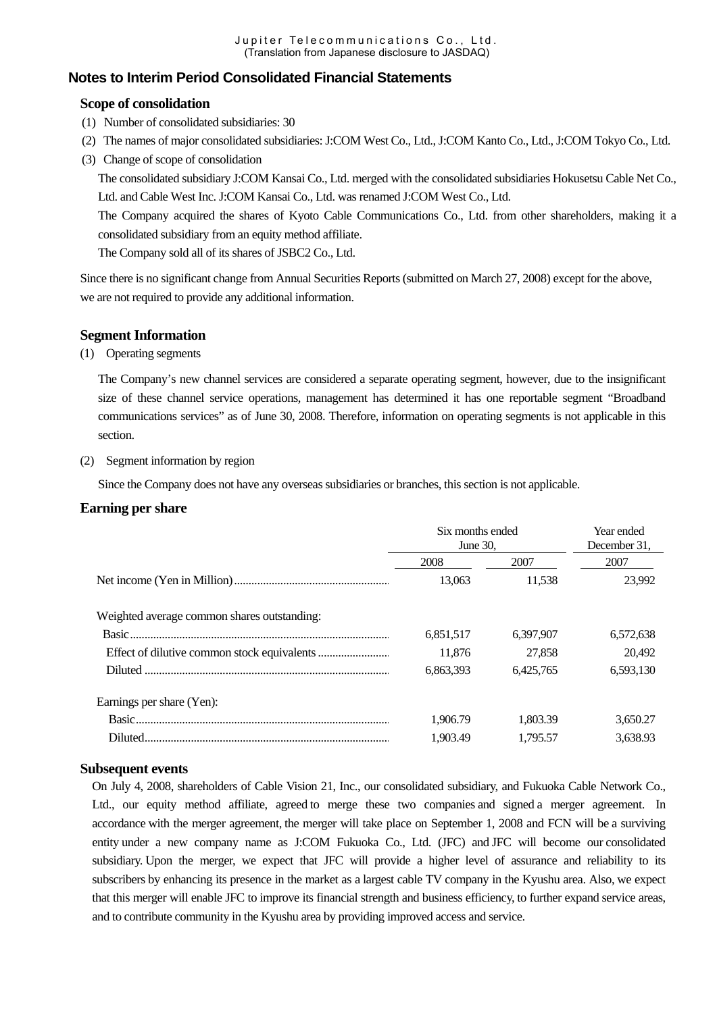#### **Notes to Interim Period Consolidated Financial Statements**

#### **Scope of consolidation**

- (1) Number of consolidated subsidiaries: 30
- (2) The names of major consolidated subsidiaries: J:COM West Co., Ltd., J:COM Kanto Co., Ltd., J:COM Tokyo Co., Ltd.
- (3) Change of scope of consolidation

The consolidated subsidiary J:COM Kansai Co., Ltd. merged with the consolidated subsidiaries Hokusetsu Cable Net Co., Ltd. and Cable West Inc. J:COM Kansai Co., Ltd. was renamed J:COM West Co., Ltd.

The Company acquired the shares of Kyoto Cable Communications Co., Ltd. from other shareholders, making it a consolidated subsidiary from an equity method affiliate.

The Company sold all of its shares of JSBC2 Co., Ltd.

Since there is no significant change from Annual Securities Reports (submitted on March 27, 2008) except for the above, we are not required to provide any additional information.

#### **Segment Information**

#### (1) Operating segments

The Company's new channel services are considered a separate operating segment, however, due to the insignificant size of these channel service operations, management has determined it has one reportable segment "Broadband communications services" as of June 30, 2008. Therefore, information on operating segments is not applicable in this section.

#### (2) Segment information by region

Since the Company does not have any overseas subsidiaries or branches, this section is not applicable.

#### **Earning per share**

|                                             | Six months ended<br>June 30. | Year ended<br>December 31. |           |
|---------------------------------------------|------------------------------|----------------------------|-----------|
|                                             | 2008                         | 2007                       | 2007      |
|                                             | 13.063                       | 11.538                     | 23.992    |
| Weighted average common shares outstanding: |                              |                            |           |
|                                             | 6,851,517                    | 6.397.907                  | 6,572,638 |
|                                             | 11.876                       | 27,858                     | 20,492    |
|                                             | 6,863,393                    | 6.425.765                  | 6,593,130 |
| Earnings per share (Yen):                   |                              |                            |           |
|                                             | 1.906.79                     | 1.803.39                   | 3,650.27  |
| Diluted.                                    | 1.903.49                     | 1.795.57                   | 3,638.93  |

#### **Subsequent events**

On July 4, 2008, shareholders of Cable Vision 21, Inc., our consolidated subsidiary, and Fukuoka Cable Network Co., Ltd., our equity method affiliate, agreed to merge these two companies and signed a merger agreement. In accordance with the merger agreement, the merger will take place on September 1, 2008 and FCN will be a surviving entity under a new company name as J:COM Fukuoka Co., Ltd. (JFC) and JFC will become our consolidated subsidiary. Upon the merger, we expect that JFC will provide a higher level of assurance and reliability to its subscribers by enhancing its presence in the market as a largest cable TV company in the Kyushu area. Also, we expect that this merger will enable JFC to improve its financial strength and business efficiency, to further expand service areas, and to contribute community in the Kyushu area by providing improved access and service.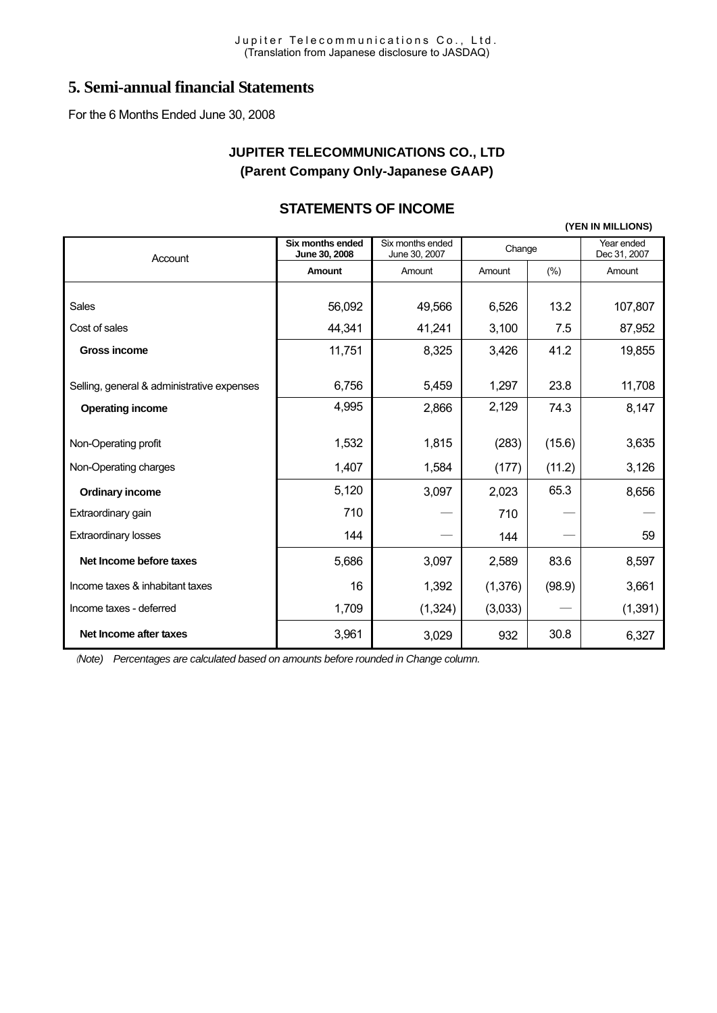# **5. Semi-annual financial Statements**

For the 6 Months Ended June 30, 2008

# **JUPITER TELECOMMUNICATIONS CO., LTD (Parent Company Only-Japanese GAAP)**

# **STATEMENTS OF INCOME**

**(YEN IN MILLIONS)**

| Account                                    | <b>Six months ended</b><br>June 30, 2008 | Six months ended<br>June 30, 2007 | Change  |        | Year ended<br>Dec 31, 2007 |
|--------------------------------------------|------------------------------------------|-----------------------------------|---------|--------|----------------------------|
|                                            | Amount                                   | Amount                            | Amount  | (% )   | Amount                     |
|                                            |                                          |                                   |         |        |                            |
| Sales                                      | 56,092                                   | 49,566                            | 6,526   | 13.2   | 107,807                    |
| Cost of sales                              | 44,341                                   | 41,241                            | 3,100   | 7.5    | 87,952                     |
| <b>Gross income</b>                        | 11,751                                   | 8,325                             | 3,426   | 41.2   | 19,855                     |
|                                            |                                          |                                   |         |        |                            |
| Selling, general & administrative expenses | 6,756                                    | 5,459                             | 1,297   | 23.8   | 11,708                     |
| <b>Operating income</b>                    | 4,995                                    | 2,866                             | 2,129   | 74.3   | 8,147                      |
|                                            |                                          |                                   |         |        |                            |
| Non-Operating profit                       | 1,532                                    | 1,815                             | (283)   | (15.6) | 3,635                      |
| Non-Operating charges                      | 1,407                                    | 1,584                             | (177)   | (11.2) | 3,126                      |
| <b>Ordinary income</b>                     | 5,120                                    | 3,097                             | 2,023   | 65.3   | 8,656                      |
| Extraordinary gain                         | 710                                      |                                   | 710     |        |                            |
| <b>Extraordinary losses</b>                | 144                                      |                                   | 144     |        | 59                         |
| Net Income before taxes                    | 5,686                                    | 3,097                             | 2,589   | 83.6   | 8,597                      |
| Income taxes & inhabitant taxes            | 16                                       | 1,392                             | (1,376) | (98.9) | 3,661                      |
| Income taxes - deferred                    | 1,709                                    | (1, 324)                          | (3,033) |        | (1, 391)                   |
| Net Income after taxes                     | 3,961                                    | 3,029                             | 932     | 30.8   | 6,327                      |

(*Note) Percentages are calculated based on amounts before rounded in Change column.*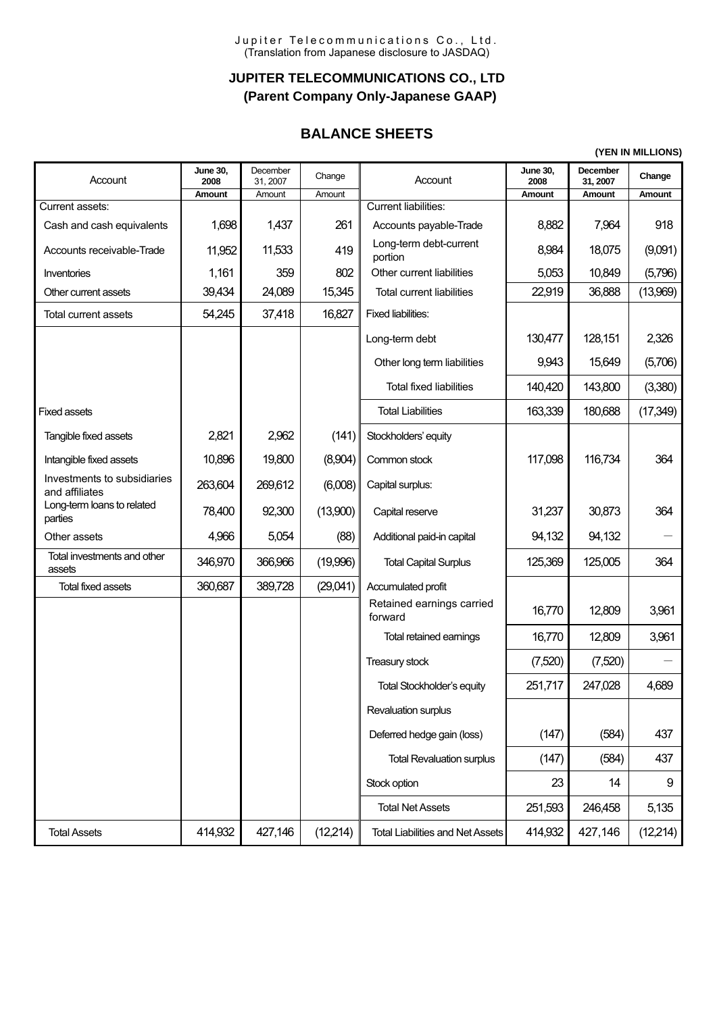# **JUPITER TELECOMMUNICATIONS CO., LTD (Parent Company Only-Japanese GAAP)**

# **BALANCE SHEETS**

**(YEN IN MILLIONS)**

| Account                                       | <b>June 30,</b><br>2008 | December<br>31, 2007 | Change    | Account                                 | <b>June 30.</b><br>2008 | <b>December</b><br>31, 2007 | Change    |
|-----------------------------------------------|-------------------------|----------------------|-----------|-----------------------------------------|-------------------------|-----------------------------|-----------|
| Current assets:                               | Amount                  | Amount               | Amount    | <b>Current liabilities:</b>             | Amount                  | Amount                      | Amount    |
| Cash and cash equivalents                     | 1,698                   | 1,437                | 261       | Accounts payable-Trade                  | 8,882                   | 7,964                       | 918       |
| Accounts receivable-Trade                     | 11,952                  | 11,533               | 419       | Long-term debt-current<br>portion       | 8,984                   | 18,075                      | (9,091)   |
| Inventories                                   | 1,161                   | 359                  | 802       | Other current liabilities               | 5,053                   | 10,849                      | (5,796)   |
| Other current assets                          | 39,434                  | 24,089               | 15,345    | <b>Total current liabilities</b>        | 22,919                  | 36,888                      | (13,969)  |
| <b>Total current assets</b>                   | 54,245                  | 37,418               | 16,827    | <b>Fixed liabilities:</b>               |                         |                             |           |
|                                               |                         |                      |           | Long-term debt                          | 130,477                 | 128,151                     | 2,326     |
|                                               |                         |                      |           | Other long term liabilities             | 9,943                   | 15,649                      | (5,706)   |
|                                               |                         |                      |           | <b>Total fixed liabilities</b>          | 140,420                 | 143,800                     | (3,380)   |
| <b>Fixed assets</b>                           |                         |                      |           | <b>Total Liabilities</b>                | 163,339                 | 180,688                     | (17, 349) |
| Tangible fixed assets                         | 2,821                   | 2,962                | (141)     | Stockholders' equity                    |                         |                             |           |
| Intangible fixed assets                       | 10,896                  | 19,800               | (8,904)   | Common stock                            | 117,098                 | 116,734                     | 364       |
| Investments to subsidiaries<br>and affiliates | 263,604                 | 269,612              | (6,008)   | Capital surplus:                        |                         |                             |           |
| Long-term loans to related<br>parties         | 78,400                  | 92,300               | (13,900)  | Capital reserve                         | 31,237                  | 30,873                      | 364       |
| Other assets                                  | 4,966                   | 5,054                | (88)      | Additional paid-in capital              | 94,132                  | 94,132                      |           |
| Total investments and other<br>assets         | 346,970                 | 366,966              | (19,996)  | <b>Total Capital Surplus</b>            | 125,369                 | 125,005                     | 364       |
| Total fixed assets                            | 360,687                 | 389,728              | (29,041)  | Accumulated profit                      |                         |                             |           |
|                                               |                         |                      |           | Retained earnings carried<br>forward    | 16,770                  | 12,809                      | 3,961     |
|                                               |                         |                      |           | Total retained eamings                  | 16,770                  | 12,809                      | 3,961     |
|                                               |                         |                      |           | Treasury stock                          | (7,520)                 | (7,520)                     |           |
|                                               |                         |                      |           | <b>Total Stockholder's equity</b>       | 251,717                 | 247,028                     | 4,689     |
|                                               |                         |                      |           | Revaluation surplus                     |                         |                             |           |
|                                               |                         |                      |           | Deferred hedge gain (loss)              | (147)                   | (584)                       | 437       |
|                                               |                         |                      |           | <b>Total Revaluation surplus</b>        | (147)                   | (584)                       | 437       |
|                                               |                         |                      |           | Stock option                            | 23                      | 14                          | 9         |
|                                               |                         |                      |           | <b>Total Net Assets</b>                 | 251,593                 | 246,458                     | 5,135     |
| <b>Total Assets</b>                           | 414,932                 | 427,146              | (12, 214) | <b>Total Liabilities and Net Assets</b> | 414,932                 | 427,146                     | (12, 214) |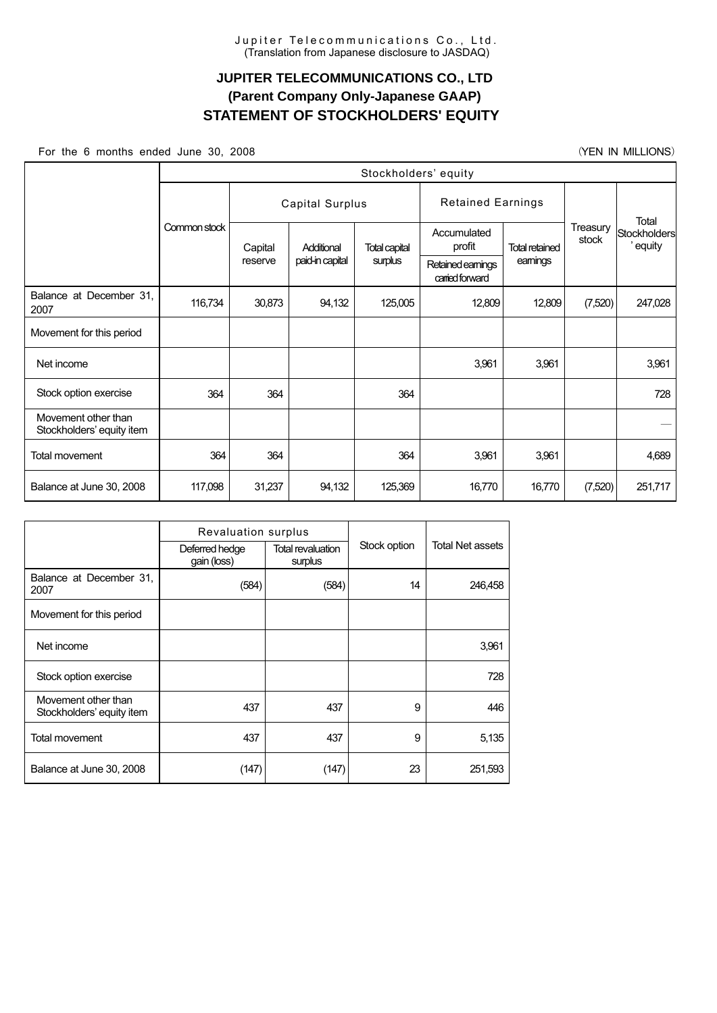# **JUPITER TELECOMMUNICATIONS CO., LTD (Parent Company Only-Japanese GAAP) STATEMENT OF STOCKHOLDERS' EQUITY**

For the 6 months ended June 30, 2008 (YEN IN MILLIONS)

|                                                  | Stockholders' equity |                 |                 |         |                          |                                      |                   |                                 |  |
|--------------------------------------------------|----------------------|-----------------|-----------------|---------|--------------------------|--------------------------------------|-------------------|---------------------------------|--|
|                                                  |                      | Capital Surplus |                 |         | <b>Retained Earnings</b> |                                      |                   |                                 |  |
|                                                  | Common stock         | Capital         | Additional      |         | Accumulated<br>profit    | <b>Total retained</b>                | Treasury<br>stock | Total<br>Stockholders<br>equity |  |
|                                                  |                      | reserve         | paid-in capital | surplus |                          | Retained earnings<br>carried forward | eamings           |                                 |  |
| Balance at December 31,<br>2007                  | 116,734              | 30,873          | 94,132          | 125,005 | 12,809                   | 12,809                               | (7,520)           | 247,028                         |  |
| Movement for this period                         |                      |                 |                 |         |                          |                                      |                   |                                 |  |
| Net income                                       |                      |                 |                 |         | 3,961                    | 3,961                                |                   | 3,961                           |  |
| Stock option exercise                            | 364                  | 364             |                 | 364     |                          |                                      |                   | 728                             |  |
| Movement other than<br>Stockholders' equity item |                      |                 |                 |         |                          |                                      |                   |                                 |  |
| Total movement                                   | 364                  | 364             |                 | 364     | 3,961                    | 3,961                                |                   | 4,689                           |  |
| Balance at June 30, 2008                         | 117,098              | 31,237          | 94,132          | 125,369 | 16,770                   | 16,770                               | (7,520)           | 251,717                         |  |

|                                                  | Revaluation surplus           |                              |              |                         |  |
|--------------------------------------------------|-------------------------------|------------------------------|--------------|-------------------------|--|
|                                                  | Deferred hedge<br>gain (loss) | Total revaluation<br>surplus | Stock option | <b>Total Net assets</b> |  |
| Balance at December 31,<br>2007                  | (584)                         | (584)                        | 14           | 246,458                 |  |
| Movement for this period                         |                               |                              |              |                         |  |
| Net income                                       |                               |                              |              | 3,961                   |  |
| Stock option exercise                            |                               |                              |              | 728                     |  |
| Movement other than<br>Stockholders' equity item | 437                           | 437                          | 9            | 446                     |  |
| <b>Total movement</b>                            | 437                           | 437                          | 9            | 5,135                   |  |
| Balance at June 30, 2008                         | (147)                         | (147)                        | 23           | 251,593                 |  |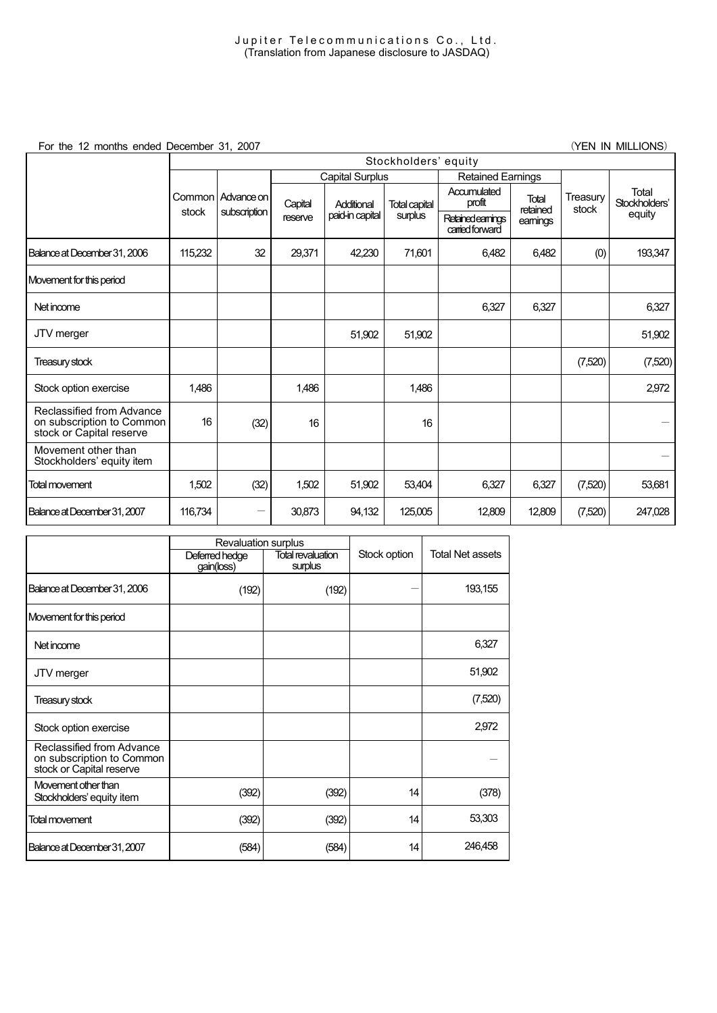For the 12 months ended December 31, 2007 (TEN IN MILLIONS)

|                                                                                    | Stockholders' equity |                   |         |                        |                      |                                    |                   |                   |                        |
|------------------------------------------------------------------------------------|----------------------|-------------------|---------|------------------------|----------------------|------------------------------------|-------------------|-------------------|------------------------|
|                                                                                    |                      |                   |         | <b>Capital Surplus</b> |                      | <b>Retained Earnings</b>           |                   |                   |                        |
|                                                                                    |                      | Common Advance on | Capital | Additional             | <b>Total capital</b> | Accumulated<br>profit              | Total<br>retained | Treasury<br>stock | Total<br>Stockholders' |
|                                                                                    | stock                | subscription      | reserve | paid-in capital        | surplus              | Retainedeamings<br>carried forward | eamings           |                   | equity                 |
| Balance at December 31, 2006                                                       | 115,232              | 32                | 29,371  | 42,230                 | 71,601               | 6,482                              | 6,482             | (0)               | 193,347                |
| Movement for this period                                                           |                      |                   |         |                        |                      |                                    |                   |                   |                        |
| Net income                                                                         |                      |                   |         |                        |                      | 6,327                              | 6,327             |                   | 6,327                  |
| JTV merger                                                                         |                      |                   |         | 51,902                 | 51,902               |                                    |                   |                   | 51,902                 |
| Treasury stock                                                                     |                      |                   |         |                        |                      |                                    |                   | (7,520)           | (7,520)                |
| Stock option exercise                                                              | 1,486                |                   | 1,486   |                        | 1,486                |                                    |                   |                   | 2,972                  |
| Reclassified from Advance<br>on subscription to Common<br>stock or Capital reserve | 16                   | (32)              | 16      |                        | 16                   |                                    |                   |                   |                        |
| Movement other than<br>Stockholders' equity item                                   |                      |                   |         |                        |                      |                                    |                   |                   |                        |
| <b>Total movement</b>                                                              | 1,502                | (32)              | 1,502   | 51,902                 | 53,404               | 6,327                              | 6,327             | (7,520)           | 53,681                 |
| Balance at December 31, 2007                                                       | 116,734              |                   | 30,873  | 94,132                 | 125,005              | 12,809                             | 12,809            | (7,520)           | 247,028                |

|                                                                                    | <b>Revaluation surplus</b>   |                              |              |                         |
|------------------------------------------------------------------------------------|------------------------------|------------------------------|--------------|-------------------------|
|                                                                                    | Deferred hedge<br>gain(loss) | Total revaluation<br>surplus | Stock option | <b>Total Net assets</b> |
| Balance at December 31, 2006                                                       | (192)                        | (192)                        |              | 193,155                 |
| Movement for this period                                                           |                              |                              |              |                         |
| Net income                                                                         |                              |                              |              | 6,327                   |
| JTV merger                                                                         |                              |                              |              | 51,902                  |
| Treasury stock                                                                     |                              |                              |              | (7,520)                 |
| Stock option exercise                                                              |                              |                              |              | 2,972                   |
| Reclassified from Advance<br>on subscription to Common<br>stock or Capital reserve |                              |                              |              |                         |
| Movement other than<br>Stockholders' equity item                                   | (392)                        | (392)                        | 14           | (378)                   |
| <b>Total movement</b>                                                              | (392)                        | (392)                        | 14           | 53,303                  |
| Balance at December 31, 2007                                                       | (584)                        | (584)                        | 14           | 246,458                 |